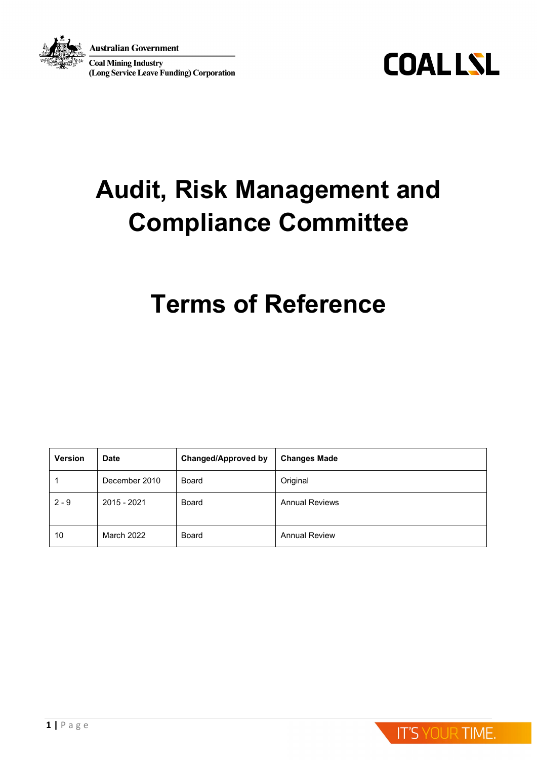

**Australian Government Coal Mining Industry** (Long Service Leave Funding) Corporation



# **Audit, Risk Management and Compliance Committee**

# **Terms of Reference**

| <b>Version</b> | <b>Date</b>   | <b>Changed/Approved by</b> | <b>Changes Made</b>   |
|----------------|---------------|----------------------------|-----------------------|
|                | December 2010 | Board                      | Original              |
| $2 - 9$        | 2015 - 2021   | Board                      | <b>Annual Reviews</b> |
| 10             | March 2022    | Board                      | <b>Annual Review</b>  |

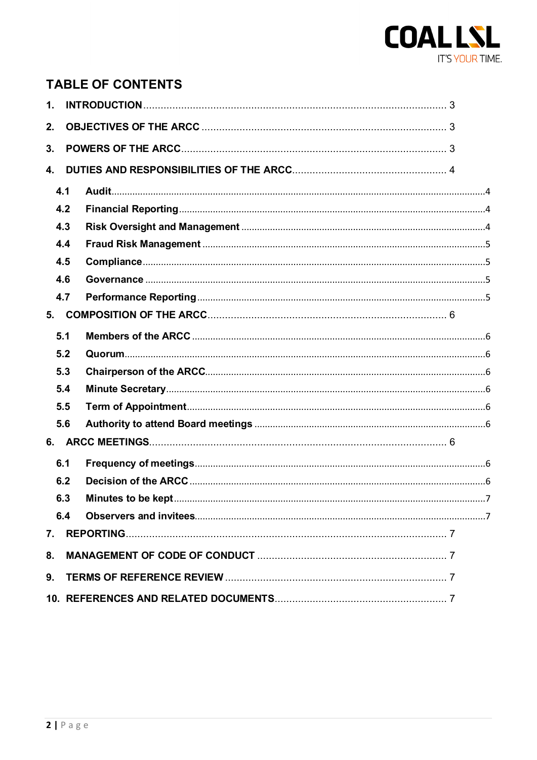

# **TABLE OF CONTENTS**

| $\mathbf{1}$ . |     |  |  |  |  |
|----------------|-----|--|--|--|--|
| 2.             |     |  |  |  |  |
| 3.             |     |  |  |  |  |
| 4.             |     |  |  |  |  |
|                | 4.1 |  |  |  |  |
|                | 4.2 |  |  |  |  |
|                | 4.3 |  |  |  |  |
|                | 4.4 |  |  |  |  |
|                | 4.5 |  |  |  |  |
|                | 4.6 |  |  |  |  |
|                | 4.7 |  |  |  |  |
| 5.             |     |  |  |  |  |
|                | 5.1 |  |  |  |  |
|                | 5.2 |  |  |  |  |
|                | 5.3 |  |  |  |  |
|                | 5.4 |  |  |  |  |
|                | 5.5 |  |  |  |  |
|                | 5.6 |  |  |  |  |
| 6.             |     |  |  |  |  |
|                | 6.1 |  |  |  |  |
|                | 6.2 |  |  |  |  |
|                | 6.3 |  |  |  |  |
|                | 6.4 |  |  |  |  |
|                |     |  |  |  |  |
| 8.             |     |  |  |  |  |
| 9.             |     |  |  |  |  |
|                |     |  |  |  |  |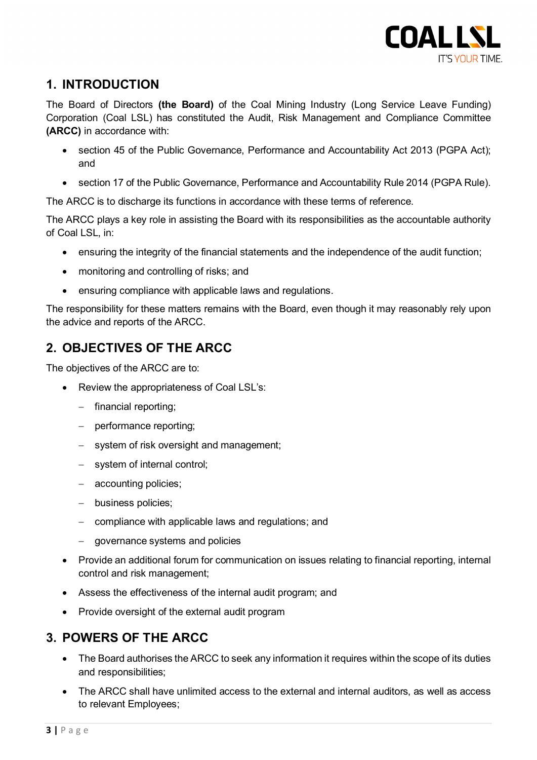

# <span id="page-2-0"></span>**1. INTRODUCTION**

The Board of Directors **(the Board)** of the Coal Mining Industry (Long Service Leave Funding) Corporation (Coal LSL) has constituted the Audit, Risk Management and Compliance Committee **(ARCC)** in accordance with:

- section 45 of the Public Governance, Performance and Accountability Act 2013 (PGPA Act); and
- section 17 of the Public Governance, Performance and Accountability Rule 2014 (PGPA Rule).

The ARCC is to discharge its functions in accordance with these terms of reference.

The ARCC plays a key role in assisting the Board with its responsibilities as the accountable authority of Coal LSL, in:

- ensuring the integrity of the financial statements and the independence of the audit function;
- monitoring and controlling of risks; and
- ensuring compliance with applicable laws and regulations.

The responsibility for these matters remains with the Board, even though it may reasonably rely upon the advice and reports of the ARCC.

# <span id="page-2-1"></span>**2. OBJECTIVES OF THE ARCC**

The objectives of the ARCC are to:

- Review the appropriateness of Coal LSL's:
	- − financial reporting;
	- − performance reporting;
	- − system of risk oversight and management;
	- − system of internal control;
	- − accounting policies;
	- − business policies;
	- − compliance with applicable laws and regulations; and
	- governance systems and policies
- Provide an additional forum for communication on issues relating to financial reporting, internal control and risk management;
- Assess the effectiveness of the internal audit program; and
- Provide oversight of the external audit program

# <span id="page-2-2"></span>**3. POWERS OF THE ARCC**

- The Board authorises the ARCC to seek any information it requires within the scope of its duties and responsibilities;
- The ARCC shall have unlimited access to the external and internal auditors, as well as access to relevant Employees;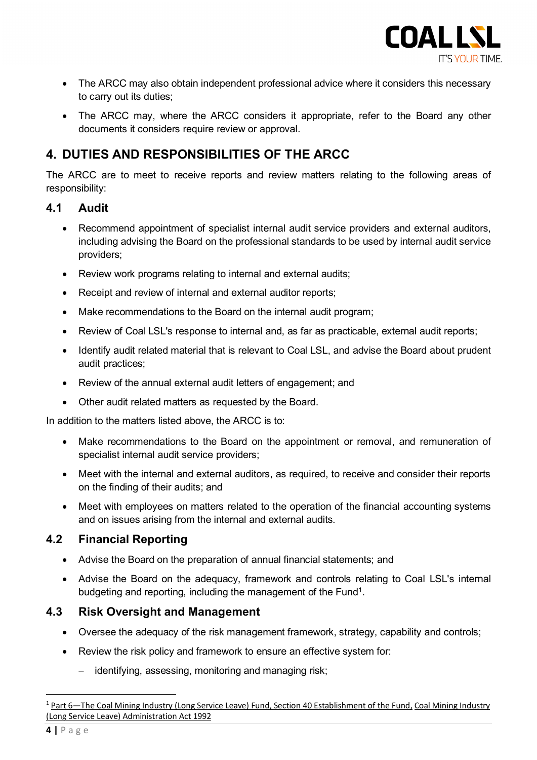

- The ARCC may also obtain independent professional advice where it considers this necessary to carry out its duties;
- The ARCC may, where the ARCC considers it appropriate, refer to the Board any other documents it considers require review or approval.

# <span id="page-3-0"></span>**4. DUTIES AND RESPONSIBILITIES OF THE ARCC**

The ARCC are to meet to receive reports and review matters relating to the following areas of responsibility:

#### <span id="page-3-1"></span>**4.1 Audit**

- Recommend appointment of specialist internal audit service providers and external auditors, including advising the Board on the professional standards to be used by internal audit service providers;
- Review work programs relating to internal and external audits;
- Receipt and review of internal and external auditor reports;
- Make recommendations to the Board on the internal audit program;
- Review of Coal LSL's response to internal and, as far as practicable, external audit reports;
- Identify audit related material that is relevant to Coal LSL, and advise the Board about prudent audit practices;
- Review of the annual external audit letters of engagement; and
- Other audit related matters as requested by the Board.

In addition to the matters listed above, the ARCC is to:

- Make recommendations to the Board on the appointment or removal, and remuneration of specialist internal audit service providers;
- Meet with the internal and external auditors, as required, to receive and consider their reports on the finding of their audits; and
- Meet with employees on matters related to the operation of the financial accounting systems and on issues arising from the internal and external audits.

#### <span id="page-3-2"></span>**4.2 Financial Reporting**

- Advise the Board on the preparation of annual financial statements; and
- Advise the Board on the adequacy, framework and controls relating to Coal LSL's internal budgeting and reporting, including the management of the Fund<sup>1</sup>.

## <span id="page-3-3"></span>**4.3 Risk Oversight and Management**

- Oversee the adequacy of the risk management framework, strategy, capability and controls;
- Review the risk policy and framework to ensure an effective system for:
	- − identifying, assessing, monitoring and managing risk;

<span id="page-3-4"></span><sup>&</sup>lt;sup>1</sup> Part 6—The Coal Mining Industry (Long Service Leave) Fund, Section 40 Establishment of the Fund, Coal Mining Industry (Long Service Leave) Administration Act 1992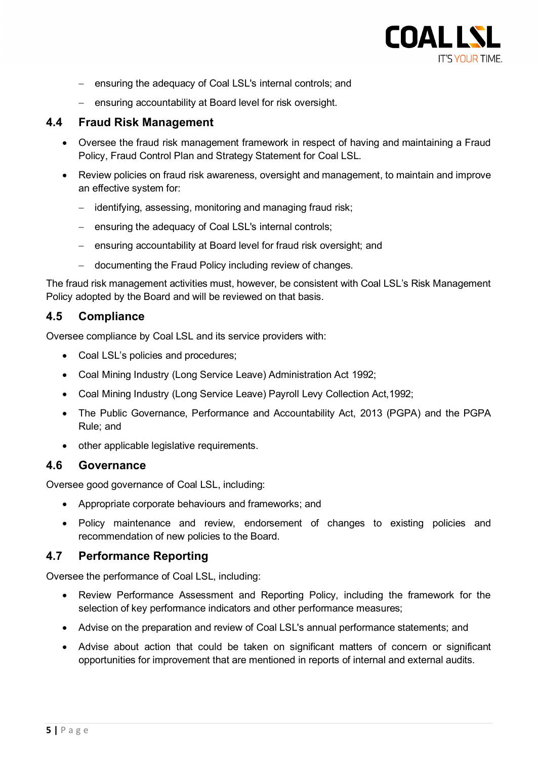

- − ensuring the adequacy of Coal LSL's internal controls; and
- − ensuring accountability at Board level for risk oversight.

#### <span id="page-4-0"></span>**4.4 Fraud Risk Management**

- Oversee the fraud risk management framework in respect of having and maintaining a Fraud Policy, Fraud Control Plan and Strategy Statement for Coal LSL.
- Review policies on fraud risk awareness, oversight and management, to maintain and improve an effective system for:
	- − identifying, assessing, monitoring and managing fraud risk;
	- − ensuring the adequacy of Coal LSL's internal controls;
	- − ensuring accountability at Board level for fraud risk oversight; and
	- − documenting the Fraud Policy including review of changes.

The fraud risk management activities must, however, be consistent with Coal LSL's Risk Management Policy adopted by the Board and will be reviewed on that basis.

#### <span id="page-4-1"></span>**4.5 Compliance**

Oversee compliance by Coal LSL and its service providers with:

- Coal LSL's policies and procedures;
- Coal Mining Industry (Long Service Leave) Administration Act 1992;
- Coal Mining Industry (Long Service Leave) Payroll Levy Collection Act,1992;
- The Public Governance, Performance and Accountability Act, 2013 (PGPA) and the PGPA Rule; and
- other applicable legislative requirements.

#### <span id="page-4-2"></span>**4.6 Governance**

Oversee good governance of Coal LSL, including:

- Appropriate corporate behaviours and frameworks; and
- Policy maintenance and review, endorsement of changes to existing policies and recommendation of new policies to the Board.

#### <span id="page-4-3"></span>**4.7 Performance Reporting**

Oversee the performance of Coal LSL, including:

- Review Performance Assessment and Reporting Policy, including the framework for the selection of key performance indicators and other performance measures;
- Advise on the preparation and review of Coal LSL's annual performance statements; and
- Advise about action that could be taken on significant matters of concern or significant opportunities for improvement that are mentioned in reports of internal and external audits.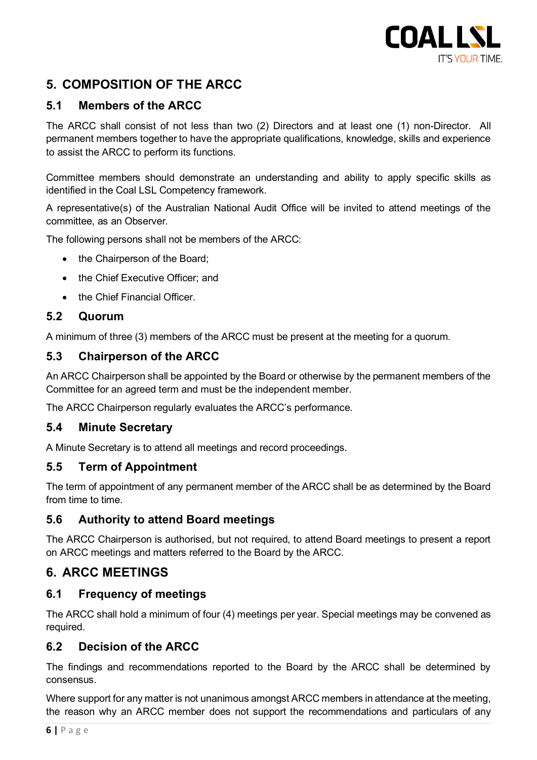

# <span id="page-5-0"></span>**5. COMPOSITION OF THE ARCC**

## <span id="page-5-1"></span>**5.1 Members of the ARCC**

The ARCC shall consist of not less than two (2) Directors and at least one (1) non-Director. All permanent members together to have the appropriate qualifications, knowledge, skills and experience to assist the ARCC to perform its functions.

Committee members should demonstrate an understanding and ability to apply specific skills as identified in the Coal LSL Competency framework.

A representative(s) of the Australian National Audit Office will be invited to attend meetings of the committee, as an Observer.

The following persons shall not be members of the ARCC:

- the Chairperson of the Board;
- the Chief Executive Officer; and
- the Chief Financial Officer.

#### <span id="page-5-2"></span>**5.2 Quorum**

A minimum of three (3) members of the ARCC must be present at the meeting for a quorum.

## <span id="page-5-3"></span>**5.3 Chairperson of the ARCC**

An ARCC Chairperson shall be appointed by the Board or otherwise by the permanent members of the Committee for an agreed term and must be the independent member.

The ARCC Chairperson regularly evaluates the ARCC's performance.

#### <span id="page-5-4"></span>**5.4 Minute Secretary**

A Minute Secretary is to attend all meetings and record proceedings.

## <span id="page-5-5"></span>**5.5 Term of Appointment**

The term of appointment of any permanent member of the ARCC shall be as determined by the Board from time to time.

#### <span id="page-5-6"></span>**5.6 Authority to attend Board meetings**

The ARCC Chairperson is authorised, but not required, to attend Board meetings to present a report on ARCC meetings and matters referred to the Board by the ARCC.

## <span id="page-5-7"></span>**6. ARCC MEETINGS**

#### <span id="page-5-8"></span>**6.1 Frequency of meetings**

The ARCC shall hold a minimum of four (4) meetings per year. Special meetings may be convened as required.

#### <span id="page-5-9"></span>**6.2 Decision of the ARCC**

The findings and recommendations reported to the Board by the ARCC shall be determined by consensus.

Where support for any matter is not unanimous amongst ARCC members in attendance at the meeting, the reason why an ARCC member does not support the recommendations and particulars of any